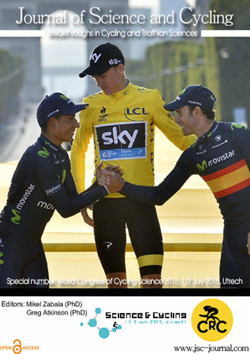## Journal of Science and Cycling

Breakthroughs in Cycling and Triathlon Sciences



Editors: Mikel Zabala (PhD) Greg Atkinson (PhD)

OPEN CACCESS





www.jsc-journal.com